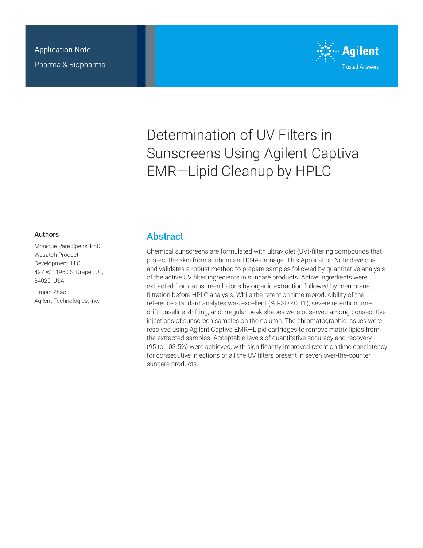

# Determination of UV Filters in Sunscreens Using Agilent Captiva EMR—Lipid Cleanup by HPLC

### Authors

Monique Paré Speirs, PhD Wasatch Product Development, LLC 427 W 11950 S, Draper, UT, 84020, USA

Limian Zhao Agilent Technologies, Inc.

### **Abstract**

Chemical sunscreens are formulated with ultraviolet (UV)-filtering compounds that protect the skin from sunburn and DNA damage. This Application Note develops and validates a robust method to prepare samples followed by quantitative analysis of the active UV filter ingredients in suncare products. Active ingredients were extracted from sunscreen lotions by organic extraction followed by membrane filtration before HPLC analysis. While the retention time reproducibility of the reference standard analytes was excellent (% RSD ≤0.11), severe retention time drift, baseline shifting, and irregular peak shapes were observed among consecutive injections of sunscreen samples on the column. The chromatographic issues were resolved using Agilent Captiva EMR—Lipid cartridges to remove matrix lipids from the extracted samples. Acceptable levels of quantitative accuracy and recovery (95 to 103.5%) were achieved, with significantly improved retention time consistency for consecutive injections of all the UV filters present in seven over-the-counter suncare products.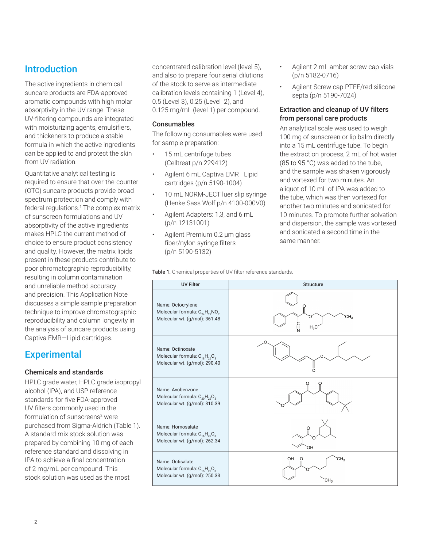## Introduction

The active ingredients in chemical suncare products are FDA-approved aromatic compounds with high molar absorptivity in the UV range. These UV-filtering compounds are integrated with moisturizing agents, emulsifiers, and thickeners to produce a stable formula in which the active ingredients can be applied to and protect the skin from UV radiation.

Quantitative analytical testing is required to ensure that over-the-counter (OTC) suncare products provide broad spectrum protection and comply with federal regulations.<sup>1</sup> The complex matrix of sunscreen formulations and UV absorptivity of the active ingredients makes HPLC the current method of choice to ensure product consistency and quality. However, the matrix lipids present in these products contribute to poor chromatographic reproducibility, resulting in column contamination and unreliable method accuracy and precision. This Application Note discusses a simple sample preparation technique to improve chromatographic reproducibility and column longevity in the analysis of suncare products using Captiva EMR—Lipid cartridges.

# **Experimental**

### Chemicals and standards

HPLC grade water, HPLC grade isopropyl alcohol (IPA), and USP reference standards for five FDA-approved UV filters commonly used in the formulation of sunscreens<sup>2</sup> were purchased from Sigma-Aldrich (Table 1). A standard mix stock solution was prepared by combining 10 mg of each reference standard and dissolving in IPA to achieve a final concentration of 2 mg/mL per compound. This stock solution was used as the most

concentrated calibration level (level 5), and also to prepare four serial dilutions of the stock to serve as intermediate calibration levels containing 1 (Level 4), 0.5 (Level 3), 0.25 (Level 2), and 0.125 mg/mL (level 1) per compound.

### Consumables

The following consumables were used for sample preparation:

- 15 mL centrifuge tubes (Celltreat p/n 229412)
- Agilent 6 mL Captiva EMR—Lipid cartridges (p/n 5190-1004)
- 10 mL NORM-JECT luer slip syringe (Henke Sass Wolf p/n 4100-000V0)
- Agilent Adapters: 1,3, and 6 mL (p/n 12131001)
- Agilent Premium 0.2 µm glass fiber/nylon syringe filters (p/n 5190-5132)

Table 1. Chemical properties of UV filter reference standards.

- Agilent 2 mL amber screw cap vials (p/n 5182-0716)
- Agilent Screw cap PTFE/red silicone septa (p/n 5190-7024)

### Extraction and cleanup of UV filters from personal care products

An analytical scale was used to weigh 100 mg of sunscreen or lip balm directly into a 15 mL centrifuge tube. To begin the extraction process, 2 mL of hot water (85 to 95 °C) was added to the tube, and the sample was shaken vigorously and vortexed for two minutes. An aliquot of 10 mL of IPA was added to the tube, which was then vortexed for another two minutes and sonicated for 10 minutes. To promote further solvation and dispersion, the sample was vortexed and sonicated a second time in the same manner.

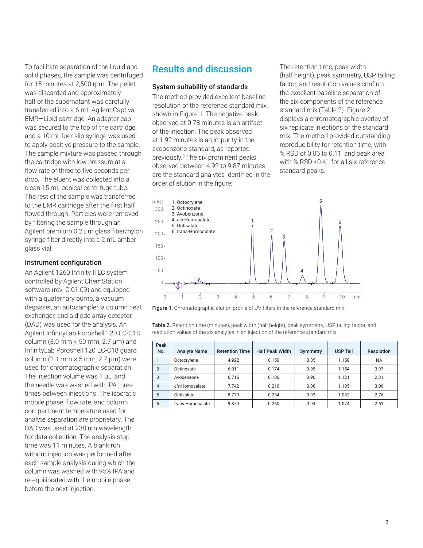To facilitate separation of the liquid and solid phases, the sample was centrifuged for 15 minutes at 2,500 rpm. The pellet was discarded and approximately half of the supernatant was carefully transferred into a 6 mL Agilent Captiva EMR—Lipid cartridge. An adapter cap was secured to the top of the cartridge, and a 10 mL luer slip syringe was used to apply positive pressure to the sample. The sample mixture was passed through the cartridge with low pressure at a flow rate of three to five seconds per drop. The eluent was collected into a clean 15 mL conical centrifuge tube. The rest of the sample was transferred to the EMR cartridge after the first half flowed through. Particles were removed by filtering the sample through an Agilent premium 0.2 µm glass fiber/nylon syringe filter directly into a 2 mL amber glass vial.

### Instrument configuration

An Agilent 1260 Infinity II LC system controlled by Agilent ChemStation software (rev. C.01.09) and equipped with a quaternary pump, a vacuum degasser, an autosampler, a column heat exchanger, and a diode array detector (DAD) was used for the analysis. An Agilent InfinityLab Poroshell 120 EC-C18 column (3.0 mm  $\times$  50 mm, 2.7 µm) and InfinityLab Poroshell 120 EC-C18 guard column (2.1 mm  $\times$  5 mm, 2.7 µm) were used for chromatographic separation. The injection volume was 1 µL, and the needle was washed with IPA three times between injections. The isocratic mobile phase, flow rate, and column compartment temperature used for analyte separation are proprietary. The DAD was used at 238 nm wavelength for data collection. The analysis stop time was 11 minutes. A blank run without injection was performed after each sample analysis during which the column was washed with 95% IPA and re-equilibrated with the mobile phase before the next injection.

### Results and discussion

#### System suitability of standards

The method provided excellent baseline resolution of the reference standard mix, shown in Figure 1. The negative peak observed at 0.78 minutes is an artifact of the injection. The peak observed at 1.92 minutes is an impurity in the avobenzone standard, as reported previously.3 The six prominent peaks observed between 4.92 to 9.87 minutes are the standard analytes identified in the order of elution in the figure:

The retention time, peak width (half height), peak symmetry, USP tailing factor, and resolution values confirm the excellent baseline separation of the six components of the reference standard mix (Table 2). Figure 2 displays a chromatographic overlay of six replicate injections of the standard mix. The method provided outstanding reproducibility for retention time, with % RSD of 0.06 to 0.11, and peak area, with % RSD <0.41 for all six reference standard peaks.



Figure 1. Chromatographic elution profile of UV filters in the reference standard mix.

Table 2. Retention time (minutes), peak width (half height), peak symmetry, USP tailing factor, and resolution values of the six analytes in an injection of the reference standard mix.

| Peak<br>No.    | <b>Analyte Name</b> | <b>Retention Time</b> | <b>Half Peak Width</b> | Symmetry | <b>USP Tail</b> | <b>Resolution</b> |
|----------------|---------------------|-----------------------|------------------------|----------|-----------------|-------------------|
|                | Octocrylene         | 4.922                 | 0.150                  | 0.85     | 1.158           | <b>NA</b>         |
| $\overline{2}$ | Octinoxate          | 6.011                 | 0.174                  | 0.85     | 1.154           | 3.97              |
| 3              | Avobenzone          | 6.716                 | 0.186                  | 0.90     | 1.121           | 2.31              |
| $\overline{4}$ | cis-Homosalate      | 7.742                 | 0.210                  | 0.86     | 1.105           | 3.06              |
| 5              | Octisalate          | 8.779                 | 0.234                  | 0.93     | 1.082           | 2.76              |
| 6              | trans-Homosalate    | 9.870                 | 0.260                  | 0.94     | 1.074           | 2.61              |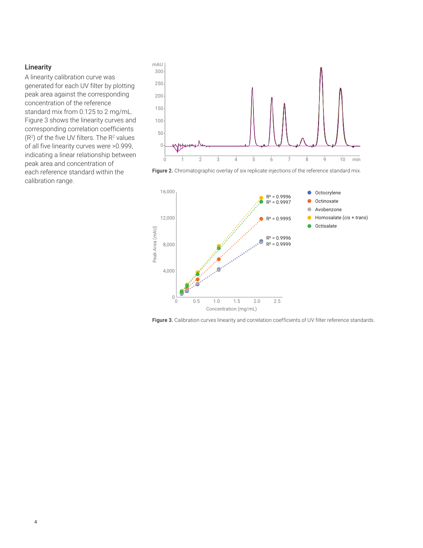### **Linearity**

A linearity calibration curve was generated for each UV filter by plotting peak area against the corresponding concentration of the reference standard mix from 0.125 to 2 mg/mL. Figure 3 shows the linearity curves and corresponding correlation coefficients  $(R<sup>2</sup>)$  of the five UV filters. The  $R<sup>2</sup>$  values of all five linearity curves were >0.999, indicating a linear relationship between peak area and concentration of each reference standard within the calibration range.



Figure 2. Chromatographic overlay of six replicate injections of the reference standard mix.



Figure 3. Calibration curves linearity and correlation coefficients of UV filter reference standards.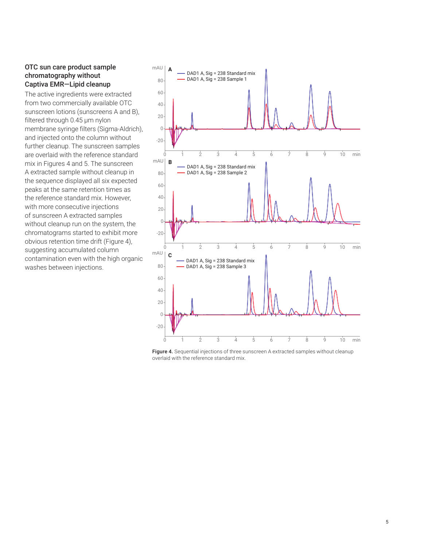### OTC sun care product sample chromatography without Captiva EMR—Lipid cleanup

The active ingredients were extracted from two commercially available OTC sunscreen lotions (sunscreens A and B), filtered through 0.45 µm nylon membrane syringe filters (Sigma-Aldrich), and injected onto the column without further cleanup. The sunscreen samples are overlaid with the reference standard mix in Figures 4 and 5. The sunscreen A extracted sample without cleanup in the sequence displayed all six expected peaks at the same retention times as the reference standard mix. However, with more consecutive injections of sunscreen A extracted samples without cleanup run on the system, the chromatograms started to exhibit more obvious retention time drift (Figure 4), suggesting accumulated column contamination even with the high organic washes between injections.



Figure 4. Sequential injections of three sunscreen A extracted samples without cleanup overlaid with the reference standard mix.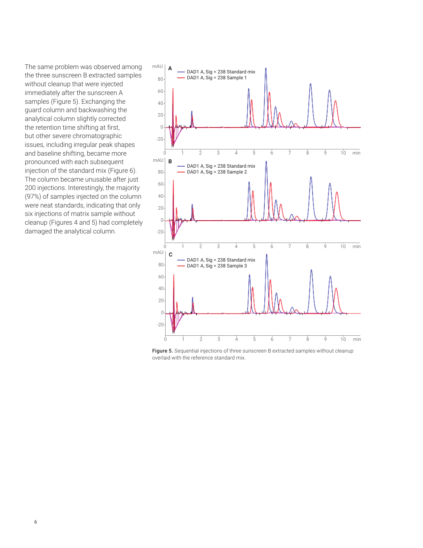The same problem was observed among the three sunscreen B extracted samples without cleanup that were injected immediately after the sunscreen A samples (Figure 5). Exchanging the guard column and backwashing the analytical column slightly corrected the retention time shifting at first, but other severe chromatographic issues, including irregular peak shapes and baseline shifting, became more pronounced with each subsequent injection of the standard mix (Figure 6). The column became unusable after just 200 injections. Interestingly, the majority (97%) of samples injected on the column were neat standards, indicating that only six injections of matrix sample without cleanup (Figures 4 and 5) had completely damaged the analytical column.



Figure 5. Sequential injections of three sunscreen B extracted samples without cleanup overlaid with the reference standard mix.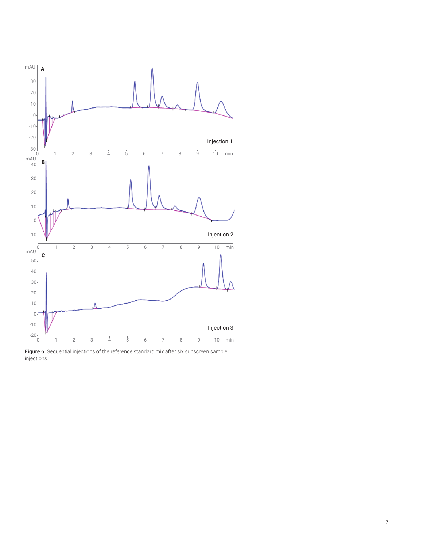

Figure 6. Sequential injections of the reference standard mix after six sunscreen sample injections.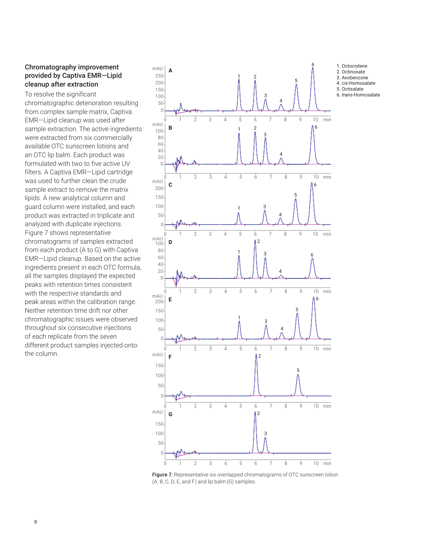### Chromatography improvement provided by Captiva EMR—Lipid cleanup after extraction

To resolve the significant chromatographic deterioration resulting from complex sample matrix, Captiva EMR—Lipid cleanup was used after sample extraction. The active ingredients were extracted from six commercially available OTC sunscreen lotions and an OTC lip balm. Each product was formulated with two to five active UV filters. A Captiva EMR—Lipid cartridge was used to further clean the crude sample extract to remove the matrix lipids. A new analytical column and guard column were installed, and each product was extracted in triplicate and analyzed with duplicate injections. Figure 7 shows representative chromatograms of samples extracted from each product (A to G) with Captiva EMR—Lipid cleanup. Based on the active ingredients present in each OTC formula, all the samples displayed the expected peaks with retention times consistent with the respective standards and peak areas within the calibration range. Neither retention time drift nor other chromatographic issues were observed throughout six consecutive injections of each replicate from the seven different product samples injected onto the column.



Figure 7. Representative six overlapped chromatograms of OTC sunscreen lotion (A, B, C, D, E, and F) and lip balm (G) samples.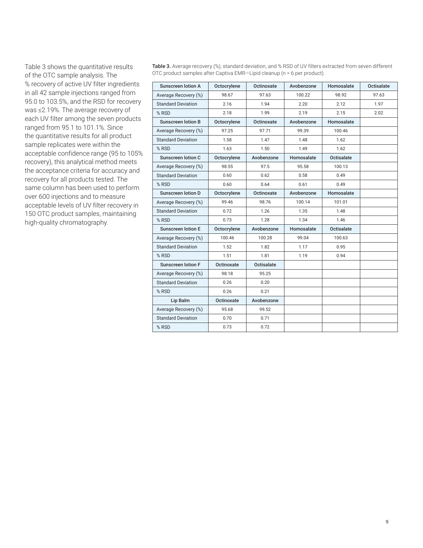Table 3 shows the quantitative results of the OTC sample analysis. The % recovery of active UV filter ingredients in all 42 sample injections ranged from 95.0 to 103.5%, and the RSD for recovery was ≤2.19%. The average recovery of each UV filter among the seven products ranged from 95.1 to 101.1%. Since the quantitative results for all product sample replicates were within the acceptable confidence range (95 to 105% recovery), this analytical method meets the acceptance criteria for accuracy and recovery for all products tested. The same column has been used to perform over 600 injections and to measure acceptable levels of UV filter recovery in 150 OTC product samples, maintaining high-quality chromatography.

Table 3. Average recovery (%), standard deviation, and % RSD of UV filters extracted from seven different OTC product samples after Captiva EMR—Lipid cleanup (n = 6 per product).

| <b>Sunscreen lotion A</b> | Octocrylene | Octinoxate | Avobenzone | Homosalate | Octisalate |
|---------------------------|-------------|------------|------------|------------|------------|
| Average Recovery (%)      | 98.67       | 97.63      | 100.22     | 98.92      | 97.63      |
| <b>Standard Deviation</b> | 2.16        | 1.94       | 2.20       | 2.12       | 1.97       |
| % RSD                     | 2.18        | 1.99       | 2.19       | 2.15       | 2.02       |
| <b>Sunscreen lotion B</b> | Octocrylene | Octinoxate | Avobenzone | Homosalate |            |
| Average Recovery (%)      | 97.25       | 97.71      | 99.39      | 100.46     |            |
| <b>Standard Deviation</b> | 1.58        | 1.47       | 1.48       | 1.62       |            |
| % RSD                     | 1.63        | 1.50       | 1.49       | 1.62       |            |
| <b>Sunscreen lotion C</b> | Octocrylene | Avobenzone | Homosalate | Octisalate |            |
| Average Recovery (%)      | 98.55       | 97.5       | 95.58      | 100.13     |            |
| <b>Standard Deviation</b> | 0.60        | 0.62       | 0.58       | 0.49       |            |
| % RSD                     | 0.60        | 0.64       | 0.61       | 0.49       |            |
| Sunscreen lotion D        | Octocrylene | Octinoxate | Avobenzone | Homosalate |            |
| Average Recovery (%)      | 99.46       | 98.76      | 100.14     | 101.01     |            |
| <b>Standard Deviation</b> | 0.72        | 1.26       | 1.35       | 1.48       |            |
| % RSD                     | 0.73        | 1.28       | 1.34       | 1.46       |            |
| <b>Sunscreen lotion E</b> | Octocrylene | Avobenzone | Homosalate | Octisalate |            |
| Average Recovery (%)      | 100.46      | 100.28     | 99.04      | 100.63     |            |
| <b>Standard Deviation</b> | 1.52        | 1.82       | 1.17       | 0.95       |            |
| % RSD                     | 1.51        | 1.81       | 1.19       | 0.94       |            |
| <b>Sunscreen lotion F</b> | Octinoxate  | Octisalate |            |            |            |
| Average Recovery (%)      | 98.18       | 95.25      |            |            |            |
| <b>Standard Deviation</b> | 0.26        | 0.20       |            |            |            |
| % RSD                     | 0.26        | 0.21       |            |            |            |
| Lip Balm                  | Octinoxate  | Avobenzone |            |            |            |
| Average Recovery (%)      | 95.68       | 99.52      |            |            |            |
| <b>Standard Deviation</b> | 0.70        | 0.71       |            |            |            |
| % RSD                     | 0.73        | 0.72       |            |            |            |